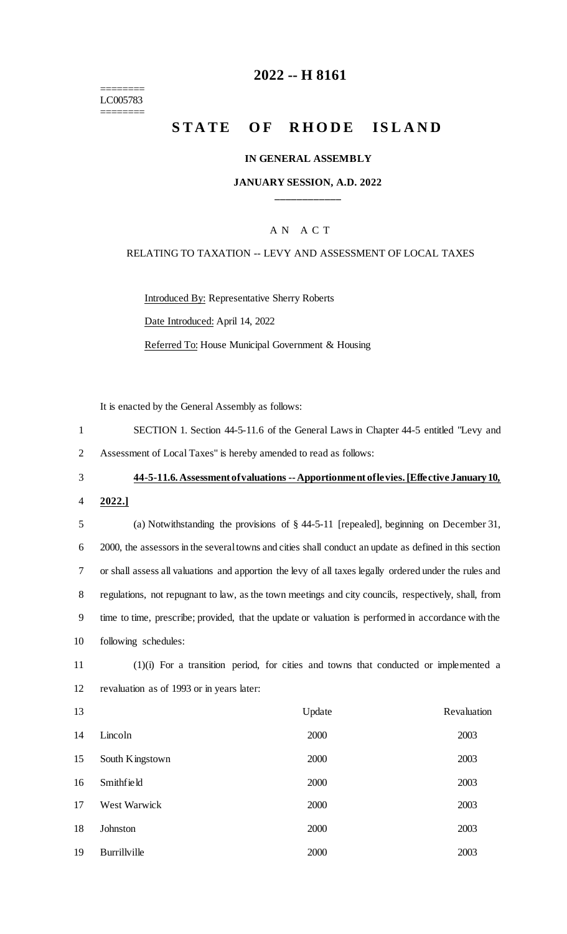======== LC005783 ========

## **-- H 8161**

## **STATE OF RHODE ISLAND**

## **IN GENERAL ASSEMBLY**

## **JANUARY SESSION, A.D. 2022 \_\_\_\_\_\_\_\_\_\_\_\_**

## A N A C T

## RELATING TO TAXATION -- LEVY AND ASSESSMENT OF LOCAL TAXES

Introduced By: Representative Sherry Roberts Date Introduced: April 14, 2022 Referred To: House Municipal Government & Housing

It is enacted by the General Assembly as follows:

| SECTION 1. Section 44-5-11.6 of the General Laws in Chapter 44-5 entitled "Levy and |
|-------------------------------------------------------------------------------------|
| 2 Assessment of Local Taxes" is hereby amended to read as follows:                  |

## **44-5-11.6. Assessment of valuations --Apportionment of levies. [Effective January 10,**

**2022.]**

# (a) Notwithstanding the provisions of § 44-5-11 [repealed], beginning on December 31, 2000, the assessors in the several towns and cities shall conduct an update as defined in this section or shall assess all valuations and apportion the levy of all taxes legally ordered under the rules and regulations, not repugnant to law, as the town meetings and city councils, respectively, shall, from time to time, prescribe; provided, that the update or valuation is performed in accordance with the following schedules:

 (1)(i) For a transition period, for cities and towns that conducted or implemented a revaluation as of 1993 or in years later:

| 13 |                   | Update | Revaluation |
|----|-------------------|--------|-------------|
| 14 | Lincoln           | 2000   | 2003        |
| 15 | South Kingstown   | 2000   | 2003        |
| 16 | <b>Smithfield</b> | 2000   | 2003        |
| 17 | West Warwick      | 2000   | 2003        |
| 18 | Johnston          | 2000   | 2003        |
| 19 | Burrillville      | 2000   | 2003        |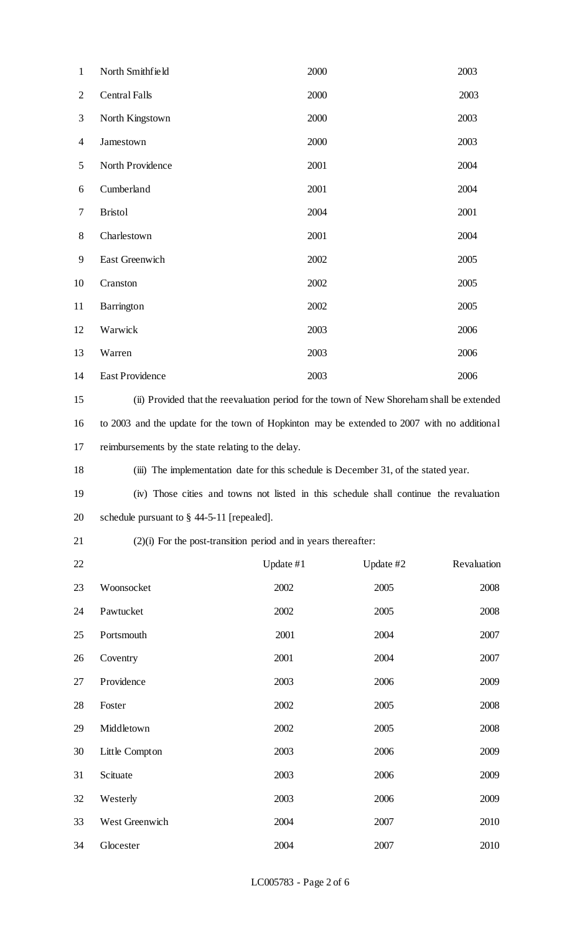| $\mathbf{1}$   | North Smithfield                                                                            | 2000 | 2003 |
|----------------|---------------------------------------------------------------------------------------------|------|------|
| $\overline{2}$ | <b>Central Falls</b>                                                                        | 2000 | 2003 |
| 3              | North Kingstown                                                                             | 2000 | 2003 |
| $\overline{4}$ | Jamestown                                                                                   | 2000 | 2003 |
| 5              | North Providence                                                                            | 2001 | 2004 |
| 6              | Cumberland                                                                                  | 2001 | 2004 |
| 7              | <b>Bristol</b>                                                                              | 2004 | 2001 |
| 8              | Charlestown                                                                                 | 2001 | 2004 |
| 9              | East Greenwich                                                                              | 2002 | 2005 |
| 10             | Cranston                                                                                    | 2002 | 2005 |
| 11             | Barrington                                                                                  | 2002 | 2005 |
| 12             | Warwick                                                                                     | 2003 | 2006 |
| 13             | Warren                                                                                      | 2003 | 2006 |
| 14             | <b>East Providence</b>                                                                      | 2003 | 2006 |
| 15             | (ii) Provided that the reevaluation period for the town of New Shoreham shall be extended   |      |      |
| 16             | to 2003 and the update for the town of Hopkinton may be extended to 2007 with no additional |      |      |
| 17             | reimbursements by the state relating to the delay.                                          |      |      |
| 18             | (iii) The implementation date for this schedule is December 31, of the stated year.         |      |      |
| 19             | (iv) Those cities and towns not listed in this schedule shall continue the revaluation      |      |      |
|                |                                                                                             |      |      |

schedule pursuant to § 44-5-11 [repealed].

## (2)(i) For the post-transition period and in years thereafter:

| 22 |                | Update $#1$ | Update #2 | Revaluation |
|----|----------------|-------------|-----------|-------------|
| 23 | Woonsocket     | 2002        | 2005      | 2008        |
| 24 | Pawtucket      | 2002        | 2005      | 2008        |
| 25 | Portsmouth     | 2001        | 2004      | 2007        |
| 26 | Coventry       | 2001        | 2004      | 2007        |
| 27 | Providence     | 2003        | 2006      | 2009        |
| 28 | Foster         | 2002        | 2005      | 2008        |
| 29 | Middletown     | 2002        | 2005      | 2008        |
| 30 | Little Compton | 2003        | 2006      | 2009        |
| 31 | Scituate       | 2003        | 2006      | 2009        |
| 32 | Westerly       | 2003        | 2006      | 2009        |
| 33 | West Greenwich | 2004        | 2007      | 2010        |
| 34 | Glocester      | 2004        | 2007      | 2010        |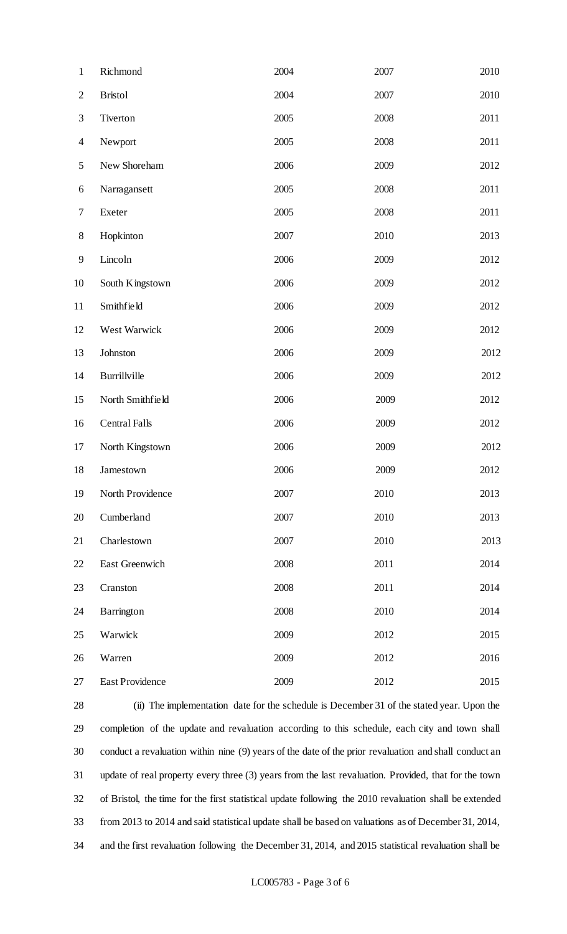| $\mathbf{1}$   | Richmond               | 2004 | 2007 | 2010 |
|----------------|------------------------|------|------|------|
| $\mathbf{2}$   | <b>Bristol</b>         | 2004 | 2007 | 2010 |
| $\mathfrak{Z}$ | Tiverton               | 2005 | 2008 | 2011 |
| $\overline{4}$ | Newport                | 2005 | 2008 | 2011 |
| $\mathfrak{S}$ | New Shoreham           | 2006 | 2009 | 2012 |
| 6              | Narragansett           | 2005 | 2008 | 2011 |
| $\tau$         | Exeter                 | 2005 | 2008 | 2011 |
| $8\,$          | Hopkinton              | 2007 | 2010 | 2013 |
| 9              | Lincoln                | 2006 | 2009 | 2012 |
| 10             | South Kingstown        | 2006 | 2009 | 2012 |
| 11             | Smithfield             | 2006 | 2009 | 2012 |
| 12             | West Warwick           | 2006 | 2009 | 2012 |
| 13             | Johnston               | 2006 | 2009 | 2012 |
| 14             | Burrillville           | 2006 | 2009 | 2012 |
| 15             | North Smithfield       | 2006 | 2009 | 2012 |
| 16             | <b>Central Falls</b>   | 2006 | 2009 | 2012 |
| 17             | North Kingstown        | 2006 | 2009 | 2012 |
| 18             | Jamestown              | 2006 | 2009 | 2012 |
| 19             | North Providence       | 2007 | 2010 | 2013 |
| 20             | Cumberland             | 2007 | 2010 | 2013 |
| 21             | Charlestown            | 2007 | 2010 | 2013 |
| 22             | East Greenwich         | 2008 | 2011 | 2014 |
| 23             | Cranston               | 2008 | 2011 | 2014 |
| 24             | Barrington             | 2008 | 2010 | 2014 |
| 25             | Warwick                | 2009 | 2012 | 2015 |
| 26             | Warren                 | 2009 | 2012 | 2016 |
| 27             | <b>East Providence</b> | 2009 | 2012 | 2015 |

 (ii) The implementation date for the schedule is December 31 of the stated year. Upon the completion of the update and revaluation according to this schedule, each city and town shall conduct a revaluation within nine (9) years of the date of the prior revaluation and shall conduct an update of real property every three (3) years from the last revaluation. Provided, that for the town of Bristol, the time for the first statistical update following the 2010 revaluation shall be extended from 2013 to 2014 and said statistical update shall be based on valuations as of December 31, 2014, and the first revaluation following the December 31, 2014, and 2015 statistical revaluation shall be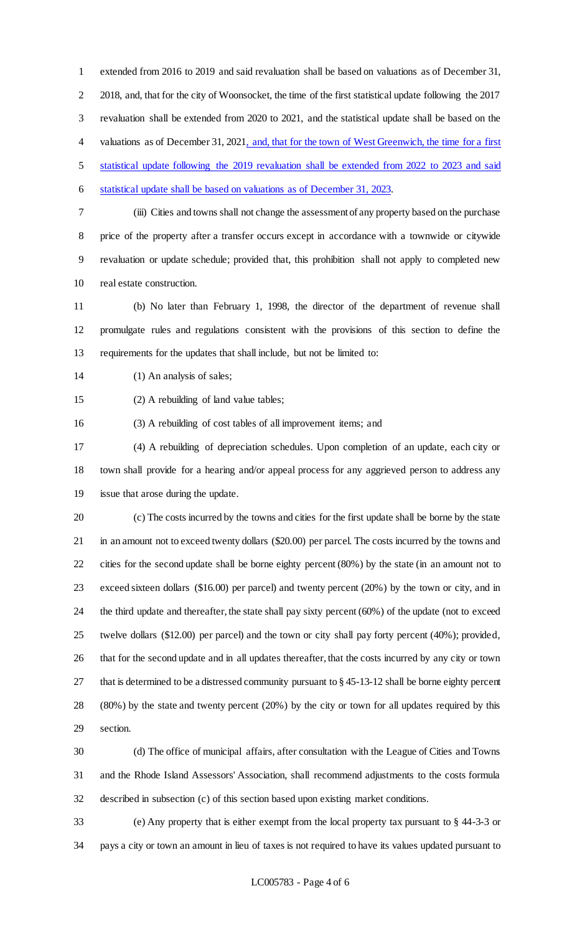extended from 2016 to 2019 and said revaluation shall be based on valuations as of December 31, 2018, and, that for the city of Woonsocket, the time of the first statistical update following the 2017 revaluation shall be extended from 2020 to 2021, and the statistical update shall be based on the 4 valuations as of December 31, 2021, and, that for the town of West Greenwich, the time for a first statistical update following the 2019 revaluation shall be extended from 2022 to 2023 and said statistical update shall be based on valuations as of December 31, 2023.

 (iii) Cities and towns shall not change the assessment of any property based on the purchase price of the property after a transfer occurs except in accordance with a townwide or citywide revaluation or update schedule; provided that, this prohibition shall not apply to completed new real estate construction.

 (b) No later than February 1, 1998, the director of the department of revenue shall promulgate rules and regulations consistent with the provisions of this section to define the requirements for the updates that shall include, but not be limited to:

14 (1) An analysis of sales;

(2) A rebuilding of land value tables;

(3) A rebuilding of cost tables of all improvement items; and

 (4) A rebuilding of depreciation schedules. Upon completion of an update, each city or town shall provide for a hearing and/or appeal process for any aggrieved person to address any issue that arose during the update.

 (c) The costs incurred by the towns and cities for the first update shall be borne by the state in an amount not to exceed twenty dollars (\$20.00) per parcel. The costs incurred by the towns and cities for the second update shall be borne eighty percent (80%) by the state (in an amount not to exceed sixteen dollars (\$16.00) per parcel) and twenty percent (20%) by the town or city, and in the third update and thereafter, the state shall pay sixty percent (60%) of the update (not to exceed twelve dollars (\$12.00) per parcel) and the town or city shall pay forty percent (40%); provided, that for the second update and in all updates thereafter, that the costs incurred by any city or town that is determined to be a distressed community pursuant to § 45-13-12 shall be borne eighty percent (80%) by the state and twenty percent (20%) by the city or town for all updates required by this section.

 (d) The office of municipal affairs, after consultation with the League of Cities and Towns and the Rhode Island Assessors' Association, shall recommend adjustments to the costs formula described in subsection (c) of this section based upon existing market conditions.

 (e) Any property that is either exempt from the local property tax pursuant to § 44-3-3 or pays a city or town an amount in lieu of taxes is not required to have its values updated pursuant to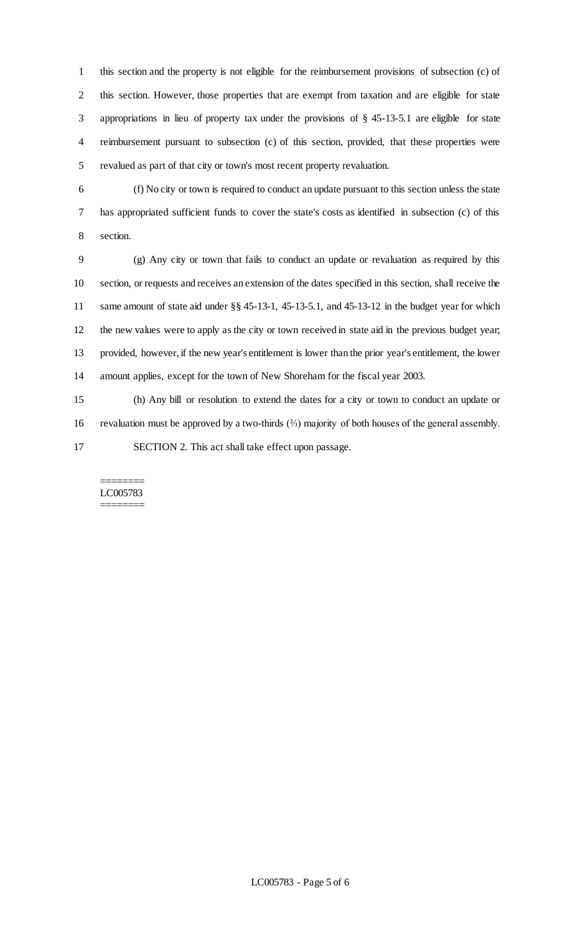this section and the property is not eligible for the reimbursement provisions of subsection (c) of this section. However, those properties that are exempt from taxation and are eligible for state appropriations in lieu of property tax under the provisions of § 45-13-5.1 are eligible for state reimbursement pursuant to subsection (c) of this section, provided, that these properties were revalued as part of that city or town's most recent property revaluation.

 (f) No city or town is required to conduct an update pursuant to this section unless the state has appropriated sufficient funds to cover the state's costs as identified in subsection (c) of this section.

 (g) Any city or town that fails to conduct an update or revaluation as required by this section, or requests and receives an extension of the dates specified in this section, shall receive the same amount of state aid under §§ 45-13-1, 45-13-5.1, and 45-13-12 in the budget year for which the new values were to apply as the city or town received in state aid in the previous budget year; provided, however, if the new year's entitlement is lower than the prior year's entitlement, the lower amount applies, except for the town of New Shoreham for the fiscal year 2003.

 (h) Any bill or resolution to extend the dates for a city or town to conduct an update or revaluation must be approved by a two-thirds (⅔) majority of both houses of the general assembly. SECTION 2. This act shall take effect upon passage.

### ======== LC005783 ========